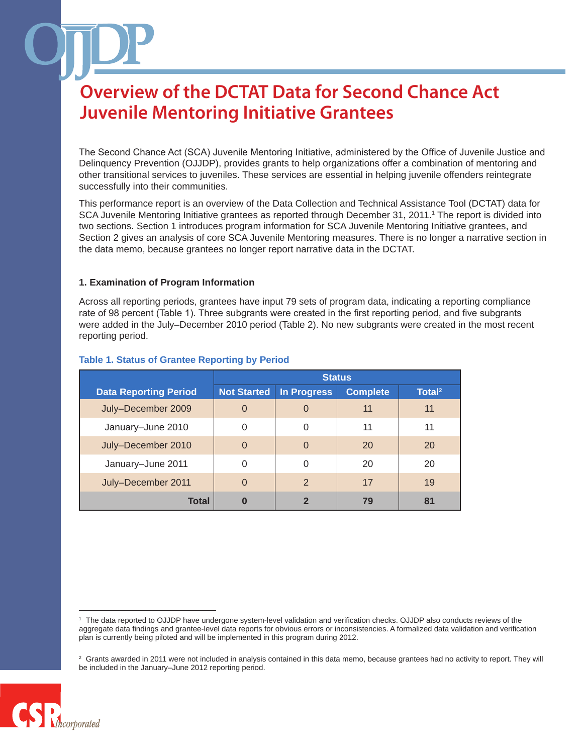The Second Chance Act (SCA) Juvenile Mentoring Initiative, administered by the Office of Juvenile Justice and Delinquency Prevention (OJJDP), provides grants to help organizations offer a combination of mentoring and other transitional services to juveniles. These services are essential in helping juvenile offenders reintegrate successfully into their communities.

This performance report is an overview of the Data Collection and Technical Assistance Tool (DCTAT) data for SCA Juvenile Mentoring Initiative grantees as reported through December 31, 2011.<sup>1</sup> The report is divided into two sections. Section 1 introduces program information for SCA Juvenile Mentoring Initiative grantees, and Section 2 gives an analysis of core SCA Juvenile Mentoring measures. There is no longer a narrative section in the data memo, because grantees no longer report narrative data in the DCTAT.

#### **1. Examination of Program Information**

Across all reporting periods, grantees have input 79 sets of program data, indicating a reporting compliance rate of 98 percent (Table 1). Three subgrants were created in the first reporting period, and five subgrants were added in the July–December 2010 period (Table 2). No new subgrants were created in the most recent reporting period.

|                              | <b>Status</b>      |                    |                 |                    |
|------------------------------|--------------------|--------------------|-----------------|--------------------|
| <b>Data Reporting Period</b> | <b>Not Started</b> | <b>In Progress</b> | <b>Complete</b> | Total <sup>2</sup> |
| July-December 2009           | $\overline{0}$     | $\overline{0}$     | 11              | 11                 |
| January-June 2010            | $\Omega$           | 0                  | 11              | 11                 |
| July-December 2010           | $\Omega$           | $\Omega$           | 20              | 20                 |
| January-June 2011            | 0                  | 0                  | 20              | 20                 |
| July-December 2011           | $\Omega$           | $\mathcal{P}$      | 17              | 19                 |
| <b>Total</b>                 | 0                  | $\overline{2}$     | 79              | 81                 |

#### **Table 1. Status of Grantee Reporting by Period**

 $2$  Grants awarded in 2011 were not included in analysis contained in this data memo, because grantees had no activity to report. They will be included in the January–June 2012 reporting period.



<sup>1</sup> The data reported to OJJDP have undergone system-level validation and verification checks. OJJDP also conducts reviews of the aggregate data findings and grantee-level data reports for obvious errors or inconsistencies. A formalized data validation and verification plan is currently being piloted and will be implemented in this program during 2012.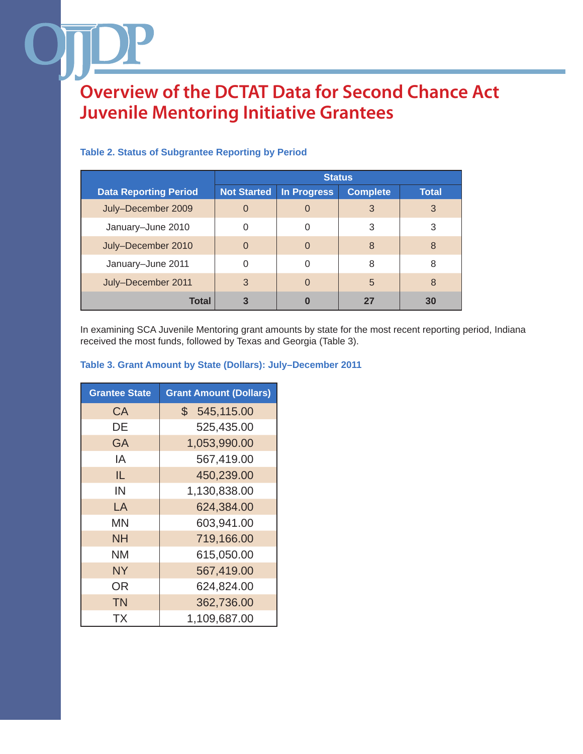|                              | <b>Status</b>      |                    |                 |              |
|------------------------------|--------------------|--------------------|-----------------|--------------|
| <b>Data Reporting Period</b> | <b>Not Started</b> | <b>In Progress</b> | <b>Complete</b> | <b>Total</b> |
| July-December 2009           | 0                  | 0                  | 3               | 3            |
| January-June 2010            |                    | 0                  | 3               | 3            |
| July-December 2010           | $\Omega$           | $\Omega$           | 8               | 8            |
| January-June 2011            |                    | 0                  | 8               | 8            |
| July-December 2011           | 3                  | $\Omega$           | $\overline{5}$  | 8            |
| <b>Total</b>                 | 3                  | 0                  | 27              | 30           |

#### **Table 2. Status of Subgrantee Reporting by Period**

In examining SCA Juvenile Mentoring grant amounts by state for the most recent reporting period, Indiana received the most funds, followed by Texas and Georgia (Table 3).

#### **Table 3. Grant Amount by State (Dollars): July–December 2011**

| <b>Grantee State</b> | <b>Grant Amount (Dollars)</b> |
|----------------------|-------------------------------|
| СA                   | $\mathbb{S}^-$<br>545,115.00  |
| DE                   | 525,435.00                    |
| <b>GA</b>            | 1,053,990.00                  |
| ΙA                   | 567,419.00                    |
| IL.                  | 450,239.00                    |
| IN                   | 1,130,838.00                  |
| LA                   | 624,384.00                    |
| ΜN                   | 603,941.00                    |
| <b>NH</b>            | 719,166.00                    |
| NM                   | 615,050.00                    |
| <b>NY</b>            | 567,419.00                    |
| OR                   | 624,824.00                    |
| <b>TN</b>            | 362,736.00                    |
| ТX                   | 1,109,687.00                  |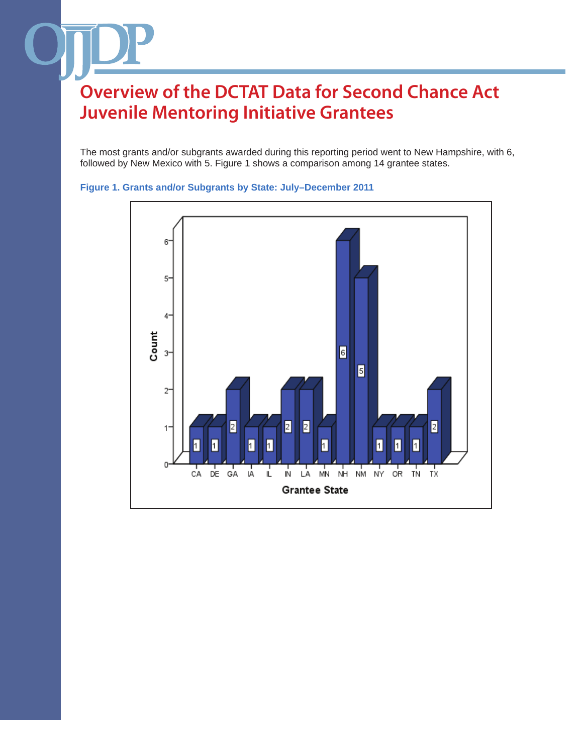The most grants and/or subgrants awarded during this reporting period went to New Hampshire, with 6, followed by New Mexico with 5. Figure 1 shows a comparison among 14 grantee states.



**Figure 1. Grants and/or Subgrants by State: July–December 2011**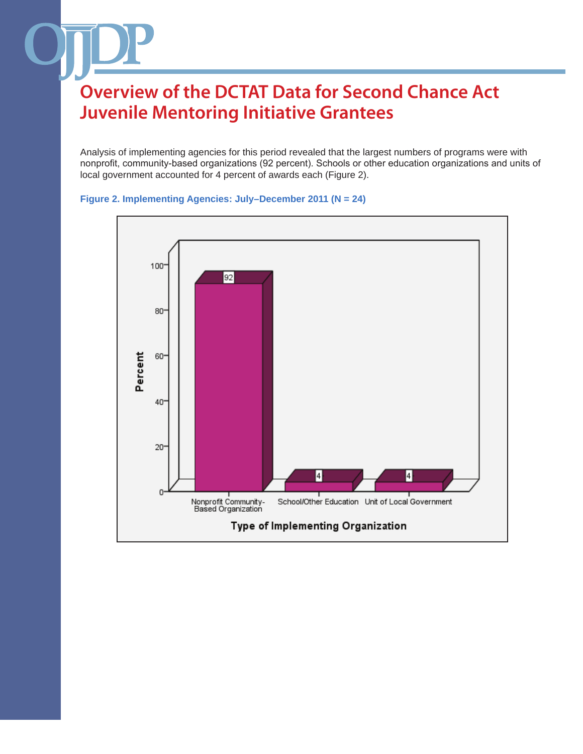Analysis of implementing agencies for this period revealed that the largest numbers of programs were with nonprofit, community-based organizations (92 percent). Schools or other education organizations and units of local government accounted for 4 percent of awards each (Figure 2).



#### **Figure 2. Implementing Agencies: July–December 2011 (N = 24)**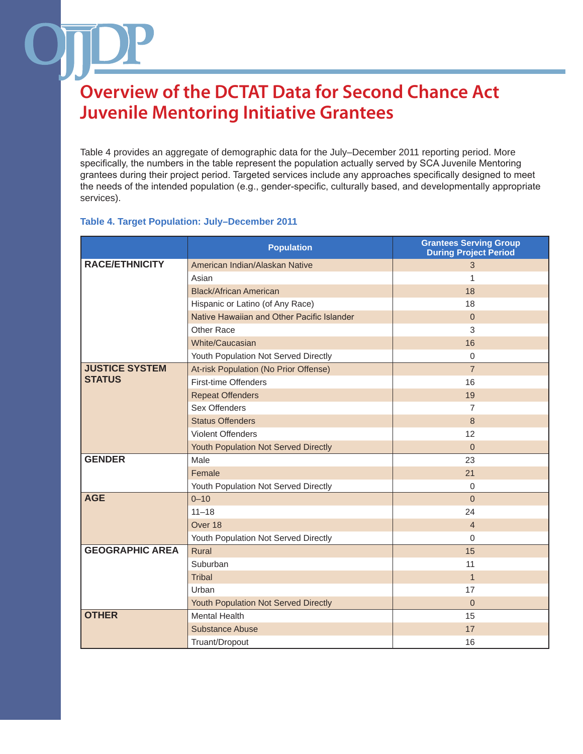Table 4 provides an aggregate of demographic data for the July–December 2011 reporting period. More specifically, the numbers in the table represent the population actually served by SCA Juvenile Mentoring grantees during their project period. Targeted services include any approaches specifically designed to meet the needs of the intended population (e.g., gender-specific, culturally based, and developmentally appropriate services).

#### **Table 4. Target Population: July–December 2011**

|                        | <b>Population</b>                          | <b>Grantees Serving Group</b><br><b>During Project Period</b> |
|------------------------|--------------------------------------------|---------------------------------------------------------------|
| <b>RACE/ETHNICITY</b>  | American Indian/Alaskan Native             | 3                                                             |
|                        | Asian                                      | 1                                                             |
|                        | <b>Black/African American</b>              | 18                                                            |
|                        | Hispanic or Latino (of Any Race)           | 18                                                            |
|                        | Native Hawaiian and Other Pacific Islander | $\overline{0}$                                                |
|                        | Other Race                                 | 3                                                             |
|                        | White/Caucasian                            | 16                                                            |
|                        | Youth Population Not Served Directly       | $\Omega$                                                      |
| <b>JUSTICE SYSTEM</b>  | At-risk Population (No Prior Offense)      | $\overline{7}$                                                |
| <b>STATUS</b>          | First-time Offenders                       | 16                                                            |
|                        | <b>Repeat Offenders</b>                    | 19                                                            |
|                        | Sex Offenders                              | $\overline{7}$                                                |
|                        | <b>Status Offenders</b>                    | 8                                                             |
|                        | <b>Violent Offenders</b>                   | 12                                                            |
|                        | Youth Population Not Served Directly       | $\overline{0}$                                                |
| <b>GENDER</b>          | Male                                       | 23                                                            |
|                        | Female                                     | 21                                                            |
|                        | Youth Population Not Served Directly       | $\mathbf 0$                                                   |
| <b>AGE</b>             | $0 - 10$                                   | $\mathbf 0$                                                   |
|                        | $11 - 18$                                  | 24                                                            |
|                        | Over 18                                    | $\overline{4}$                                                |
|                        | Youth Population Not Served Directly       | $\Omega$                                                      |
| <b>GEOGRAPHIC AREA</b> | Rural                                      | 15                                                            |
|                        | Suburban                                   | 11                                                            |
|                        | <b>Tribal</b>                              | $\overline{1}$                                                |
|                        | Urban                                      | 17                                                            |
|                        | Youth Population Not Served Directly       | $\overline{0}$                                                |
| <b>OTHER</b>           | <b>Mental Health</b>                       | 15                                                            |
|                        | <b>Substance Abuse</b>                     | 17                                                            |
|                        | Truant/Dropout                             | 16                                                            |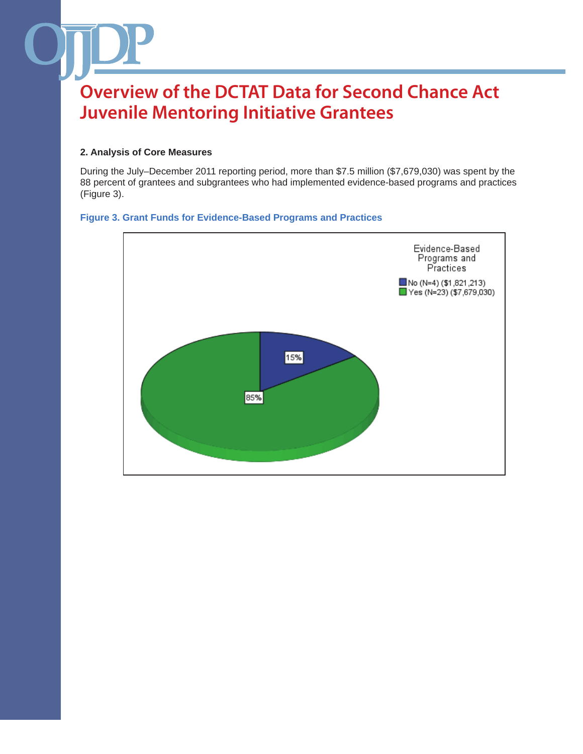#### **2. Analysis of Core Measures**

During the July–December 2011 reporting period, more than \$7.5 million (\$7,679,030) was spent by the 88 percent of grantees and subgrantees who had implemented evidence-based programs and practices (Figure 3).

#### **Figure 3. Grant Funds for Evidence-Based Programs and Practices**

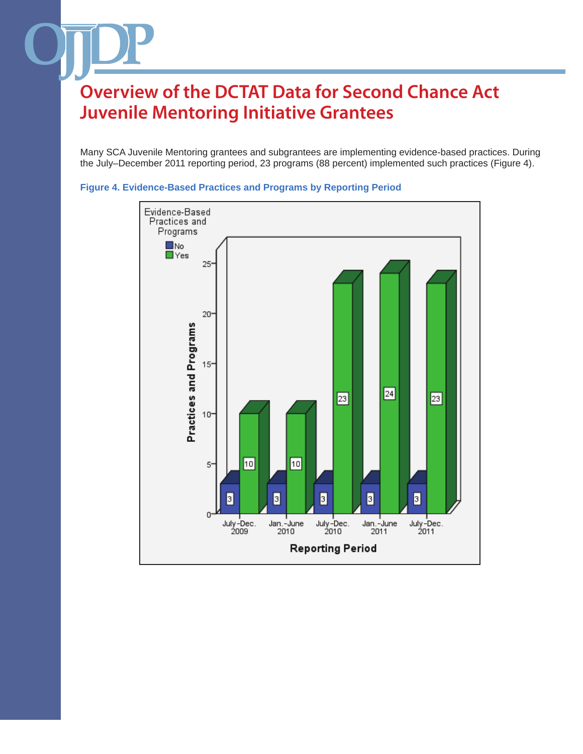Many SCA Juvenile Mentoring grantees and subgrantees are implementing evidence-based practices. During the July–December 2011 reporting period, 23 programs (88 percent) implemented such practices (Figure 4).



**Figure 4. Evidence-Based Practices and Programs by Reporting Period**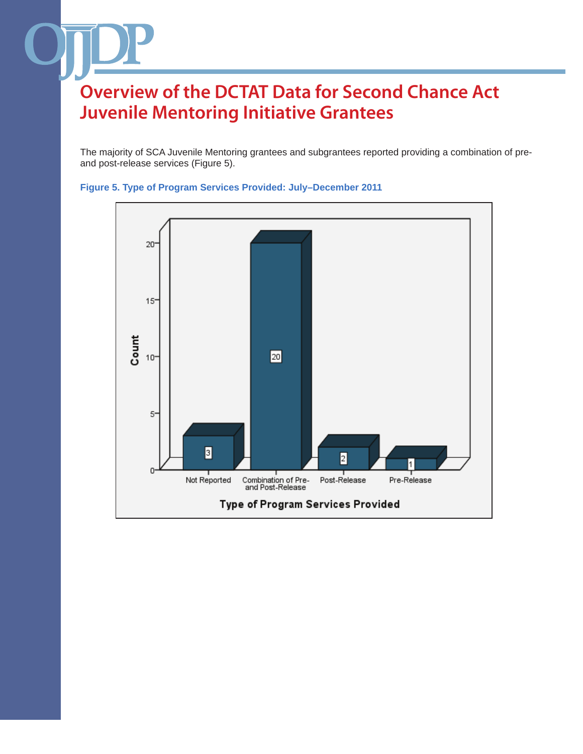The majority of SCA Juvenile Mentoring grantees and subgrantees reported providing a combination of preand post-release services (Figure 5).



**Figure 5. Type of Program Services Provided: July–December 2011**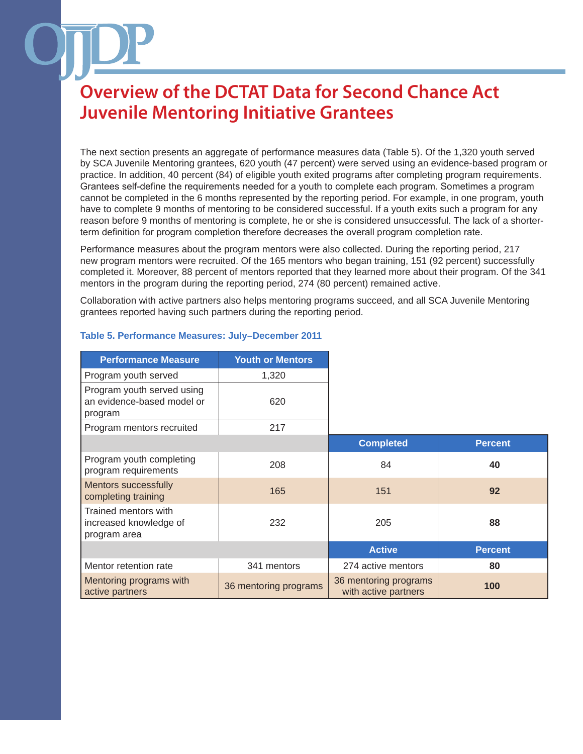The next section presents an aggregate of performance measures data (Table 5). Of the 1,320 youth served by SCA Juvenile Mentoring grantees, 620 youth (47 percent) were served using an evidence-based program or practice. In addition, 40 percent (84) of eligible youth exited programs after completing program requirements. Grantees self-define the requirements needed for a youth to complete each program. Sometimes a program cannot be completed in the 6 months represented by the reporting period. For example, in one program, youth have to complete 9 months of mentoring to be considered successful. If a youth exits such a program for any reason before 9 months of mentoring is complete, he or she is considered unsuccessful. The lack of a shorterterm definition for program completion therefore decreases the overall program completion rate.

Performance measures about the program mentors were also collected. During the reporting period, 217 new program mentors were recruited. Of the 165 mentors who began training, 151 (92 percent) successfully completed it. Moreover, 88 percent of mentors reported that they learned more about their program. Of the 341 mentors in the program during the reporting period, 274 (80 percent) remained active.

Collaboration with active partners also helps mentoring programs succeed, and all SCA Juvenile Mentoring grantees reported having such partners during the reporting period.

| <b>Performance Measure</b>                                          | <b>Youth or Mentors</b> |                                               |                |
|---------------------------------------------------------------------|-------------------------|-----------------------------------------------|----------------|
| Program youth served                                                | 1,320                   |                                               |                |
| Program youth served using<br>an evidence-based model or<br>program | 620                     |                                               |                |
| Program mentors recruited                                           | 217                     |                                               |                |
|                                                                     |                         | <b>Completed</b>                              | <b>Percent</b> |
| Program youth completing<br>program requirements                    | 208                     | 84                                            | 40             |
| <b>Mentors successfully</b><br>completing training                  | 165                     | 151                                           | 92             |
| Trained mentors with<br>increased knowledge of<br>program area      | 232                     | 205                                           | 88             |
|                                                                     |                         | <b>Active</b>                                 | <b>Percent</b> |
| Mentor retention rate                                               | 341 mentors             | 274 active mentors                            | 80             |
| Mentoring programs with<br>active partners                          | 36 mentoring programs   | 36 mentoring programs<br>with active partners | 100            |

#### **Table 5. Performance Measures: July–December 2011**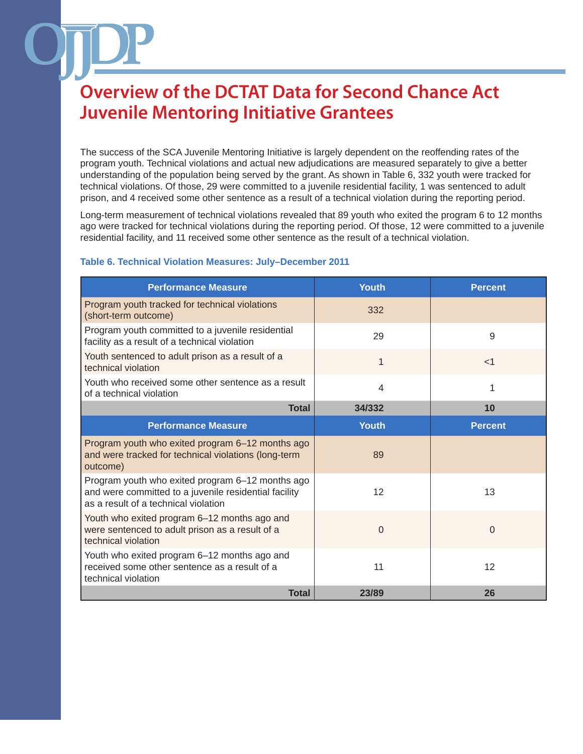The success of the SCA Juvenile Mentoring Initiative is largely dependent on the reoffending rates of the program youth. Technical violations and actual new adjudications are measured separately to give a better understanding of the population being served by the grant. As shown in Table 6, 332 youth were tracked for technical violations. Of those, 29 were committed to a juvenile residential facility, 1 was sentenced to adult prison, and 4 received some other sentence as a result of a technical violation during the reporting period.

Long-term measurement of technical violations revealed that 89 youth who exited the program 6 to 12 months ago were tracked for technical violations during the reporting period. Of those, 12 were committed to a juvenile residential facility, and 11 received some other sentence as the result of a technical violation.

| <b>Performance Measure</b>                                                                                                                        | <b>Youth</b> | <b>Percent</b> |
|---------------------------------------------------------------------------------------------------------------------------------------------------|--------------|----------------|
| Program youth tracked for technical violations<br>(short-term outcome)                                                                            | 332          |                |
| Program youth committed to a juvenile residential<br>facility as a result of a technical violation                                                | 29           | 9              |
| Youth sentenced to adult prison as a result of a<br>technical violation                                                                           | 1            | $<$ 1          |
| Youth who received some other sentence as a result<br>of a technical violation                                                                    | 4            | 1              |
| <b>Total</b>                                                                                                                                      | 34/332       | 10             |
| <b>Performance Measure</b>                                                                                                                        | <b>Youth</b> | <b>Percent</b> |
| Program youth who exited program 6-12 months ago<br>and were tracked for technical violations (long-term<br>outcome)                              | 89           |                |
| Program youth who exited program 6-12 months ago<br>and were committed to a juvenile residential facility<br>as a result of a technical violation | 12           | 13             |
| Youth who exited program 6-12 months ago and<br>were sentenced to adult prison as a result of a<br>technical violation                            | 0            | $\Omega$       |
| Youth who exited program 6-12 months ago and<br>received some other sentence as a result of a<br>technical violation                              | 11           | 12             |
| <b>Total</b>                                                                                                                                      | 23/89        | 26             |

#### **Table 6. Technical Violation Measures: July–December 2011**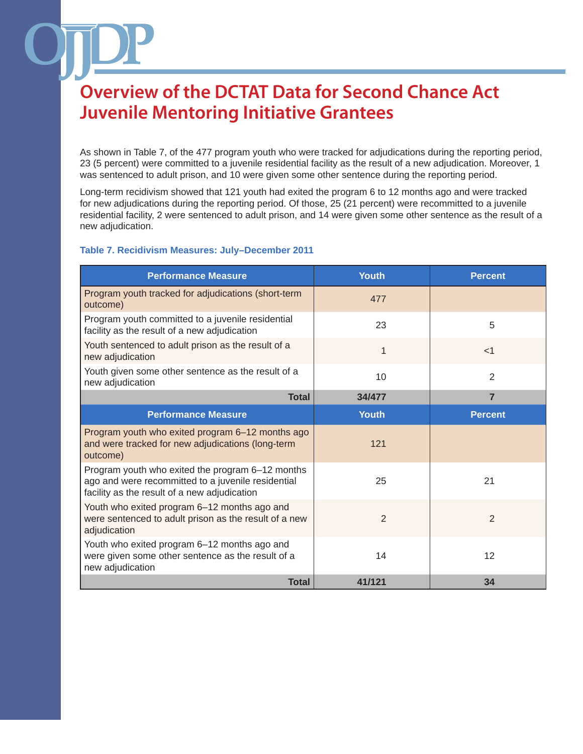As shown in Table 7, of the 477 program youth who were tracked for adjudications during the reporting period, 23 (5 percent) were committed to a juvenile residential facility as the result of a new adjudication. Moreover, 1 was sentenced to adult prison, and 10 were given some other sentence during the reporting period.

Long-term recidivism showed that 121 youth had exited the program 6 to 12 months ago and were tracked for new adjudications during the reporting period. Of those, 25 (21 percent) were recommitted to a juvenile residential facility, 2 were sentenced to adult prison, and 14 were given some other sentence as the result of a new adjudication.

#### **Table 7. Recidivism Measures: July–December 2011**

| <b>Performance Measure</b>                                                                                                                             | <b>Youth</b>   | <b>Percent</b> |
|--------------------------------------------------------------------------------------------------------------------------------------------------------|----------------|----------------|
| Program youth tracked for adjudications (short-term<br>outcome)                                                                                        | 477            |                |
| Program youth committed to a juvenile residential<br>facility as the result of a new adjudication                                                      | 23             | 5              |
| Youth sentenced to adult prison as the result of a<br>new adjudication                                                                                 | 1              | $<$ 1          |
| Youth given some other sentence as the result of a<br>new adjudication                                                                                 | 10             | $\mathbf{2}$   |
| <b>Total</b>                                                                                                                                           | 34/477         | $\overline{7}$ |
| <b>Performance Measure</b>                                                                                                                             | <b>Youth</b>   | <b>Percent</b> |
| Program youth who exited program 6-12 months ago<br>and were tracked for new adjudications (long-term<br>outcome)                                      | 121            |                |
| Program youth who exited the program 6-12 months<br>ago and were recommitted to a juvenile residential<br>facility as the result of a new adjudication | 25             | 21             |
| Youth who exited program 6-12 months ago and<br>were sentenced to adult prison as the result of a new<br>adjudication                                  | $\overline{2}$ | $\overline{2}$ |
| Youth who exited program 6-12 months ago and<br>were given some other sentence as the result of a<br>new adjudication                                  | 14             | 12             |
| <b>Total</b>                                                                                                                                           | 41/121         | 34             |